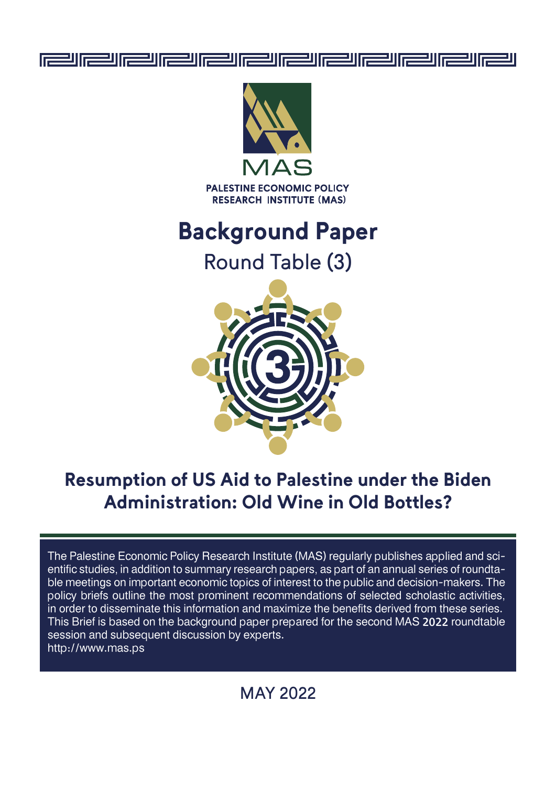



**PALESTINE ECONOMIC POLICY RESEARCH INSTITUTE (MAS)** 

# **Background Paper**

Round Table (3)



## **Resumption of US Aid to Palestine under the Biden Administration: Old Wine in Old Bottles?**

The Palestine Economic Policy Research Institute (MAS) regularly publishes applied and scientific studies, in addition to summary research papers, as part of an annual series of roundtable meetings on important economic topics of interest to the public and decision-makers. The policy briefs outline the most prominent recommendations of selected scholastic activities, in order to disseminate this information and maximize the benefits derived from these series. This Brief is based on the background paper prepared for the second MAS 2022 roundtable session and subsequent discussion by experts. http://www.mas.ps

## MAY 2022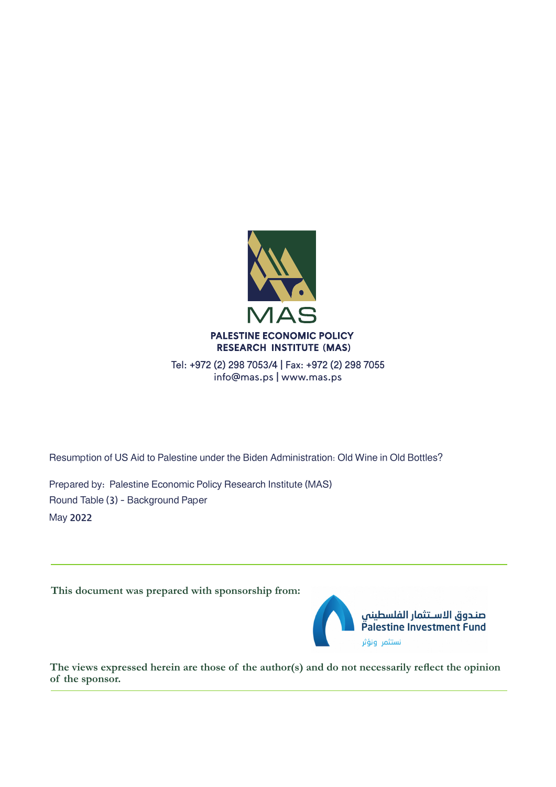

Tel: +972 (2) 298 7053/4 | Fax: +972 (2) 298 7055 info@mas.ps | www.mas.ps

Resumption of US Aid to Palestine under the Biden Administration: Old Wine in Old Bottles?

Prepared by: Palestine Economic Policy Research Institute (MAS) Round Table (3) - Background Paper May 2022

**This document was prepared with sponsorship from:**



صندوق الاسـتثمار الفلسطينى Palestine Investment Fund نستثمر ونؤثر

**The views expressed herein are those of the author(s) and do not necessarily reflect the opinion of the sponsor.**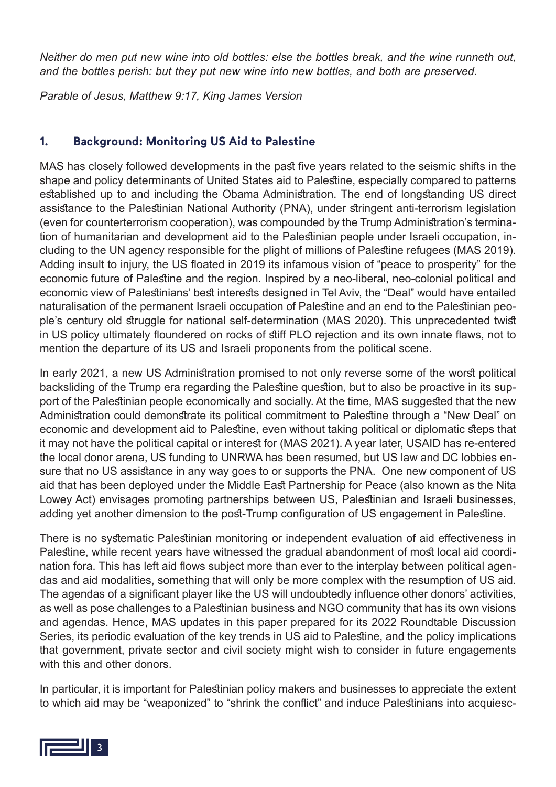*Neither do men put new wine into old bottles: else the bottles break, and the wine runneth out, and the bottles perish: but they put new wine into new bottles, and both are preserved.*

*Parable of Jesus, Matthew 9:17, King James Version*

#### **1. Background: Monitoring US Aid to Palestine**

MAS has closely followed developments in the past five years related to the seismic shifts in the shape and policy determinants of United States aid to Palestine, especially compared to patterns established up to and including the Obama Administration. The end of longstanding US direct assistance to the Palestinian National Authority (PNA), under stringent anti-terrorism legislation (even for counterterrorism cooperation), was compounded by the Trump Administration's termination of humanitarian and development aid to the Palestinian people under Israeli occupation, including to the UN agency responsible for the plight of millions of Palestine refugees (MAS 2019). Adding insult to injury, the US floated in 2019 its infamous vision of "peace to prosperity" for the economic future of Palestine and the region. Inspired by a neo-liberal, neo-colonial political and economic view of Palestinians' best interests designed in Tel Aviv, the "Deal" would have entailed naturalisation of the permanent Israeli occupation of Palestine and an end to the Palestinian people's century old struggle for national self-determination (MAS 2020). This unprecedented twist in US policy ultimately floundered on rocks of stiff PLO rejection and its own innate flaws, not to mention the departure of its US and Israeli proponents from the political scene.

In early 2021, a new US Administration promised to not only reverse some of the worst political backsliding of the Trump era regarding the Palestine question, but to also be proactive in its support of the Palestinian people economically and socially. At the time, MAS suggested that the new Administration could demonstrate its political commitment to Palestine through a "New Deal" on economic and development aid to Palestine, even without taking political or diplomatic steps that it may not have the political capital or interest for (MAS 2021). A year later, USAID has re-entered the local donor arena, US funding to UNRWA has been resumed, but US law and DC lobbies ensure that no US assistance in any way goes to or supports the PNA. One new component of US aid that has been deployed under the Middle East Partnership for Peace (also known as the Nita Lowey Act) envisages promoting partnerships between US, Palestinian and Israeli businesses, adding yet another dimension to the post-Trump configuration of US engagement in Palestine.

There is no systematic Palestinian monitoring or independent evaluation of aid effectiveness in Palestine, while recent years have witnessed the gradual abandonment of most local aid coordination fora. This has left aid flows subject more than ever to the interplay between political agendas and aid modalities, something that will only be more complex with the resumption of US aid. The agendas of a significant player like the US will undoubtedly influence other donors' activities, as well as pose challenges to a Palestinian business and NGO community that has its own visions and agendas. Hence, MAS updates in this paper prepared for its 2022 Roundtable Discussion Series, its periodic evaluation of the key trends in US aid to Palestine, and the policy implications that government, private sector and civil society might wish to consider in future engagements with this and other donors.

In particular, it is important for Palestinian policy makers and businesses to appreciate the extent to which aid may be "weaponized" to "shrink the conflict" and induce Palestinians into acquiesc-

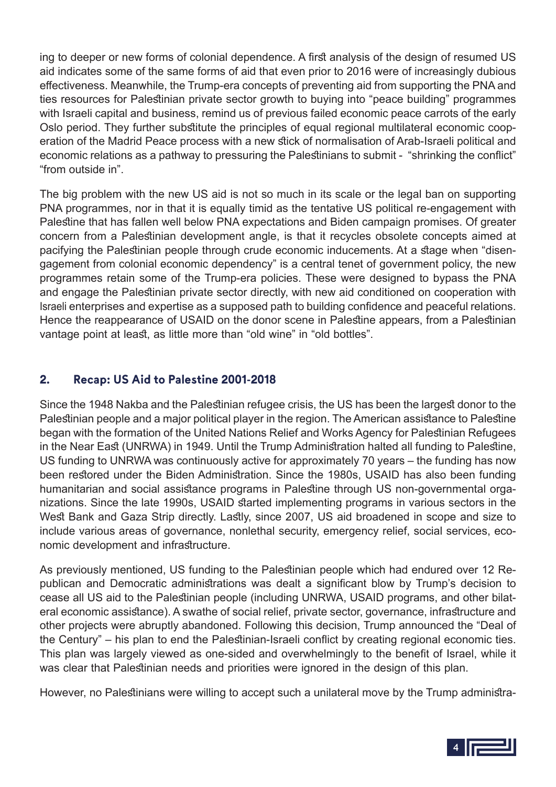ing to deeper or new forms of colonial dependence. A first analysis of the design of resumed US aid indicates some of the same forms of aid that even prior to 2016 were of increasingly dubious effectiveness. Meanwhile, the Trump-era concepts of preventing aid from supporting the PNA and ties resources for Palestinian private sector growth to buying into "peace building" programmes with Israeli capital and business, remind us of previous failed economic peace carrots of the early Oslo period. They further substitute the principles of equal regional multilateral economic cooperation of the Madrid Peace process with a new stick of normalisation of Arab-Israeli political and economic relations as a pathway to pressuring the Palestinians to submit - "shrinking the conflict" "from outside in".

The big problem with the new US aid is not so much in its scale or the legal ban on supporting PNA programmes, nor in that it is equally timid as the tentative US political re-engagement with Palestine that has fallen well below PNA expectations and Biden campaign promises. Of greater concern from a Palestinian development angle, is that it recycles obsolete concepts aimed at pacifying the Palestinian people through crude economic inducements. At a stage when "disengagement from colonial economic dependency" is a central tenet of government policy, the new programmes retain some of the Trump-era policies. These were designed to bypass the PNA and engage the Palestinian private sector directly, with new aid conditioned on cooperation with Israeli enterprises and expertise as a supposed path to building confidence and peaceful relations. Hence the reappearance of USAID on the donor scene in Palestine appears, from a Palestinian vantage point at least, as little more than "old wine" in "old bottles".

#### **2. Recap: US Aid to Palestine 2001-2018**

Since the 1948 Nakba and the Palestinian refugee crisis, the US has been the largest donor to the Palestinian people and a major political player in the region. The American assistance to Palestine began with the formation of the United Nations Relief and Works Agency for Palestinian Refugees in the Near East (UNRWA) in 1949. Until the Trump Administration halted all funding to Palestine, US funding to UNRWA was continuously active for approximately 70 years – the funding has now been restored under the Biden Administration. Since the 1980s, USAID has also been funding humanitarian and social assistance programs in Palestine through US non-governmental organizations. Since the late 1990s, USAID started implementing programs in various sectors in the West Bank and Gaza Strip directly. Lastly, since 2007, US aid broadened in scope and size to include various areas of governance, nonlethal security, emergency relief, social services, economic development and infrastructure.

As previously mentioned, US funding to the Palestinian people which had endured over 12 Republican and Democratic administrations was dealt a significant blow by Trump's decision to cease all US aid to the Palestinian people (including UNRWA, USAID programs, and other bilateral economic assistance). A swathe of social relief, private sector, governance, infrastructure and other projects were abruptly abandoned. Following this decision, Trump announced the "Deal of the Century" – his plan to end the Palestinian-Israeli conflict by creating regional economic ties. This plan was largely viewed as one-sided and overwhelmingly to the benefit of Israel, while it was clear that Palestinian needs and priorities were ignored in the design of this plan.

However, no Palestinians were willing to accept such a unilateral move by the Trump administra-

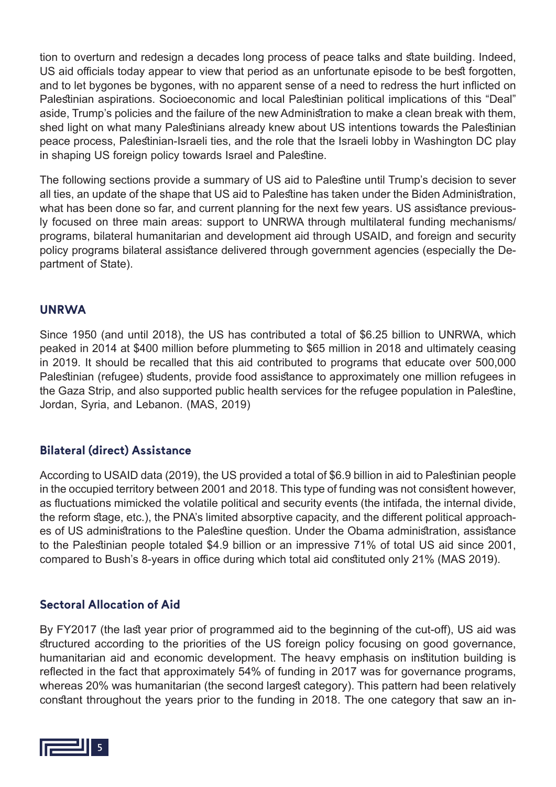tion to overturn and redesign a decades long process of peace talks and state building. Indeed, US aid officials today appear to view that period as an unfortunate episode to be best forgotten, and to let bygones be bygones, with no apparent sense of a need to redress the hurt inflicted on Palestinian aspirations. Socioeconomic and local Palestinian political implications of this "Deal" aside, Trump's policies and the failure of the new Administration to make a clean break with them, shed light on what many Palestinians already knew about US intentions towards the Palestinian peace process, Palestinian-Israeli ties, and the role that the Israeli lobby in Washington DC play in shaping US foreign policy towards Israel and Palestine.

The following sections provide a summary of US aid to Palestine until Trump's decision to sever all ties, an update of the shape that US aid to Palestine has taken under the Biden Administration, what has been done so far, and current planning for the next few years. US assistance previously focused on three main areas: support to UNRWA through multilateral funding mechanisms/ programs, bilateral humanitarian and development aid through USAID, and foreign and security policy programs bilateral assistance delivered through government agencies (especially the Department of State).

#### **UNRWA**

Since 1950 (and until 2018), the US has contributed a total of \$6.25 billion to UNRWA, which peaked in 2014 at \$400 million before plummeting to \$65 million in 2018 and ultimately ceasing in 2019. It should be recalled that this aid contributed to programs that educate over 500,000 Palestinian (refugee) students, provide food assistance to approximately one million refugees in the Gaza Strip, and also supported public health services for the refugee population in Palestine, Jordan, Syria, and Lebanon. (MAS, 2019)

#### **Bilateral (direct) Assistance**

According to USAID data (2019), the US provided a total of \$6.9 billion in aid to Palestinian people in the occupied territory between 2001 and 2018. This type of funding was not consistent however, as fluctuations mimicked the volatile political and security events (the intifada, the internal divide, the reform stage, etc.), the PNA's limited absorptive capacity, and the different political approaches of US administrations to the Palestine question. Under the Obama administration, assistance to the Palestinian people totaled \$4.9 billion or an impressive 71% of total US aid since 2001, compared to Bush's 8-years in office during which total aid constituted only 21% (MAS 2019).

#### **Sectoral Allocation of Aid**

By FY2017 (the last year prior of programmed aid to the beginning of the cut-off), US aid was structured according to the priorities of the US foreign policy focusing on good governance, humanitarian aid and economic development. The heavy emphasis on institution building is reflected in the fact that approximately 54% of funding in 2017 was for governance programs, whereas 20% was humanitarian (the second largest category). This pattern had been relatively constant throughout the years prior to the funding in 2018. The one category that saw an in-

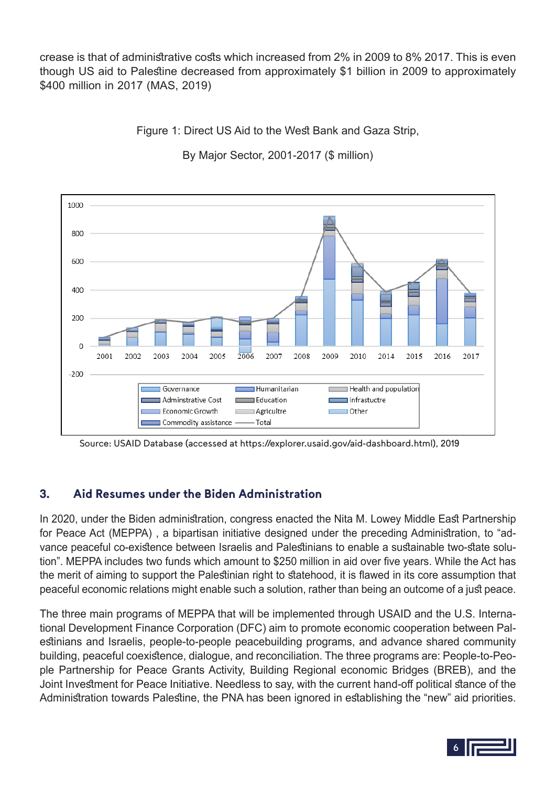crease is that of administrative costs which increased from 2% in 2009 to 8% 2017. This is even though US aid to Palestine decreased from approximately \$1 billion in 2009 to approximately \$400 million in 2017 (MAS, 2019)

Figure 1: Direct US Aid to the West Bank and Gaza Strip,

1000 800 600  $400$ 200 2001 2002 2003 2004 2005 2006 2007 2008 2009 2010 2014 2015 2016 2017  $-200$ Humanitarian Health and population Governance Adminstrative Cost Education  $\blacksquare$  Infrastuctre Economic Growth Agricultre Other Commodity assistance -- Total

By Major Sector, 2001-2017 (\$ million)

Source: USAID Database (accessed at https://explorer.usaid.gov/aid-dashboard.html), 2019

### **3. Aid Resumes under the Biden Administration**

In 2020, under the Biden administration, congress enacted the Nita M. Lowey Middle East Partnership for Peace Act (MEPPA) , a bipartisan initiative designed under the preceding Administration, to "advance peaceful co-existence between Israelis and Palestinians to enable a sustainable two-state solution". MEPPA includes two funds which amount to \$250 million in aid over five years. While the Act has the merit of aiming to support the Palestinian right to statehood, it is flawed in its core assumption that peaceful economic relations might enable such a solution, rather than being an outcome of a just peace.

The three main programs of MEPPA that will be implemented through USAID and the U.S. International Development Finance Corporation (DFC) aim to promote economic cooperation between Palestinians and Israelis, people-to-people peacebuilding programs, and advance shared community building, peaceful coexistence, dialogue, and reconciliation. The three programs are: People-to-People Partnership for Peace Grants Activity, Building Regional economic Bridges (BREB), and the Joint Investment for Peace Initiative. Needless to say, with the current hand-off political stance of the Administration towards Palestine, the PNA has been ignored in establishing the "new" aid priorities.

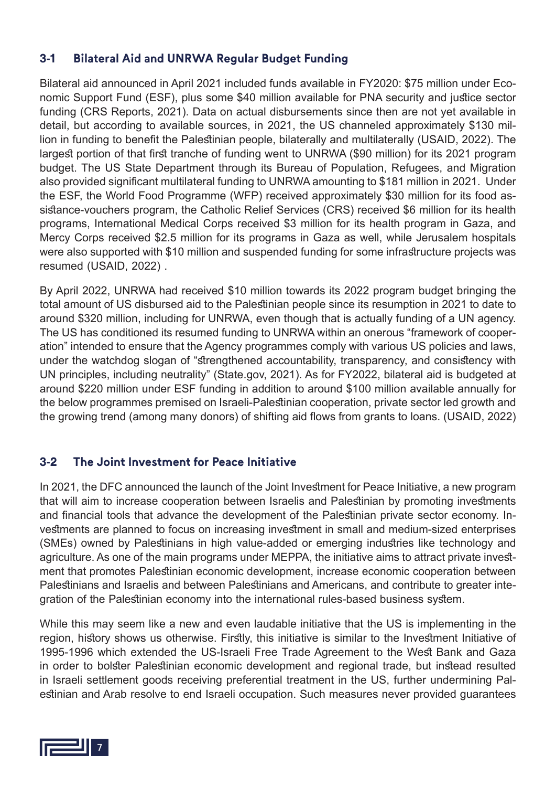#### **3-1 Bilateral Aid and UNRWA Regular Budget Funding**

Bilateral aid announced in April 2021 included funds available in FY2020: \$75 million under Economic Support Fund (ESF), plus some \$40 million available for PNA security and justice sector funding (CRS Reports, 2021). Data on actual disbursements since then are not yet available in detail, but according to available sources, in 2021, the US channeled approximately \$130 million in funding to benefit the Palestinian people, bilaterally and multilaterally (USAID, 2022). The largest portion of that first tranche of funding went to UNRWA (\$90 million) for its 2021 program budget. The US State Department through its Bureau of Population, Refugees, and Migration also provided significant multilateral funding to UNRWA amounting to \$181 million in 2021. Under the ESF, the World Food Programme (WFP) received approximately \$30 million for its food assistance-vouchers program, the Catholic Relief Services (CRS) received \$6 million for its health programs, International Medical Corps received \$3 million for its health program in Gaza, and Mercy Corps received \$2.5 million for its programs in Gaza as well, while Jerusalem hospitals were also supported with \$10 million and suspended funding for some infrastructure projects was resumed (USAID, 2022) .

By April 2022, UNRWA had received \$10 million towards its 2022 program budget bringing the total amount of US disbursed aid to the Palestinian people since its resumption in 2021 to date to around \$320 million, including for UNRWA, even though that is actually funding of a UN agency. The US has conditioned its resumed funding to UNRWA within an onerous "framework of cooperation" intended to ensure that the Agency programmes comply with various US policies and laws, under the watchdog slogan of "strengthened accountability, transparency, and consistency with UN principles, including neutrality" (State.gov, 2021). As for FY2022, bilateral aid is budgeted at around \$220 million under ESF funding in addition to around \$100 million available annually for the below programmes premised on Israeli-Palestinian cooperation, private sector led growth and the growing trend (among many donors) of shifting aid flows from grants to loans. (USAID, 2022)

#### **3-2 The Joint Investment for Peace Initiative**

In 2021, the DFC announced the launch of the Joint Investment for Peace Initiative, a new program that will aim to increase cooperation between Israelis and Palestinian by promoting investments and financial tools that advance the development of the Palestinian private sector economy. Investments are planned to focus on increasing investment in small and medium-sized enterprises (SMEs) owned by Palestinians in high value-added or emerging industries like technology and agriculture. As one of the main programs under MEPPA, the initiative aims to attract private investment that promotes Palestinian economic development, increase economic cooperation between Palestinians and Israelis and between Palestinians and Americans, and contribute to greater integration of the Palestinian economy into the international rules-based business system.

While this may seem like a new and even laudable initiative that the US is implementing in the region, history shows us otherwise. Firstly, this initiative is similar to the Investment Initiative of 1995-1996 which extended the US-Israeli Free Trade Agreement to the West Bank and Gaza in order to bolster Palestinian economic development and regional trade, but instead resulted in Israeli settlement goods receiving preferential treatment in the US, further undermining Palestinian and Arab resolve to end Israeli occupation. Such measures never provided guarantees

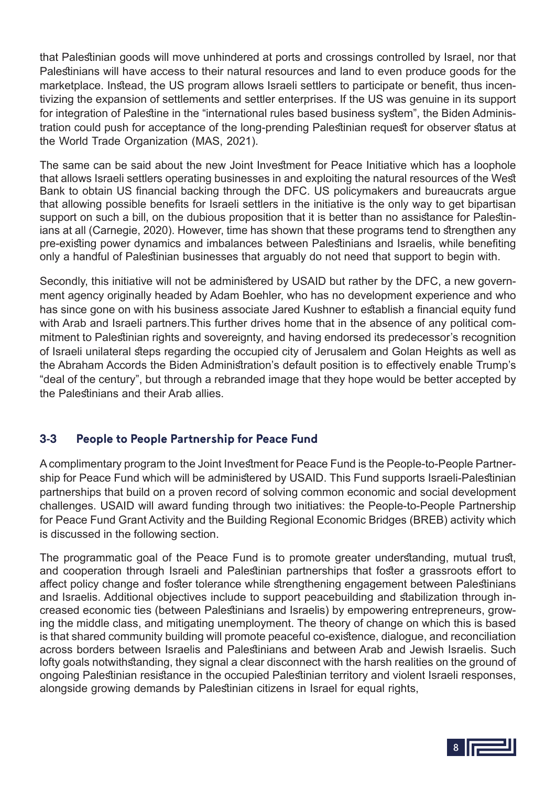that Palestinian goods will move unhindered at ports and crossings controlled by Israel, nor that Palestinians will have access to their natural resources and land to even produce goods for the marketplace. Instead, the US program allows Israeli settlers to participate or benefit, thus incentivizing the expansion of settlements and settler enterprises. If the US was genuine in its support for integration of Palestine in the "international rules based business system", the Biden Administration could push for acceptance of the long-prending Palestinian request for observer status at the World Trade Organization (MAS, 2021).

The same can be said about the new Joint Investment for Peace Initiative which has a loophole that allows Israeli settlers operating businesses in and exploiting the natural resources of the West Bank to obtain US financial backing through the DFC. US policymakers and bureaucrats argue that allowing possible benefits for Israeli settlers in the initiative is the only way to get bipartisan support on such a bill, on the dubious proposition that it is better than no assistance for Palestinians at all (Carnegie, 2020). However, time has shown that these programs tend to strengthen any pre-existing power dynamics and imbalances between Palestinians and Israelis, while benefiting only a handful of Palestinian businesses that arguably do not need that support to begin with.

Secondly, this initiative will not be administered by USAID but rather by the DFC, a new government agency originally headed by Adam Boehler, who has no development experience and who has since gone on with his business associate Jared Kushner to establish a financial equity fund with Arab and Israeli partners. This further drives home that in the absence of any political commitment to Palestinian rights and sovereignty, and having endorsed its predecessor's recognition of Israeli unilateral steps regarding the occupied city of Jerusalem and Golan Heights as well as the Abraham Accords the Biden Administration's default position is to effectively enable Trump's "deal of the century", but through a rebranded image that they hope would be better accepted by the Palestinians and their Arab allies.

#### **3-3 People to People Partnership for Peace Fund**

A complimentary program to the Joint Investment for Peace Fund is the People-to-People Partnership for Peace Fund which will be administered by USAID. This Fund supports Israeli-Palestinian partnerships that build on a proven record of solving common economic and social development challenges. USAID will award funding through two initiatives: the People-to-People Partnership for Peace Fund Grant Activity and the Building Regional Economic Bridges (BREB) activity which is discussed in the following section.

The programmatic goal of the Peace Fund is to promote greater understanding, mutual trust, and cooperation through Israeli and Palestinian partnerships that foster a grassroots effort to affect policy change and foster tolerance while strengthening engagement between Palestinians and Israelis. Additional objectives include to support peacebuilding and stabilization through increased economic ties (between Palestinians and Israelis) by empowering entrepreneurs, growing the middle class, and mitigating unemployment. The theory of change on which this is based is that shared community building will promote peaceful co-existence, dialogue, and reconciliation across borders between Israelis and Palestinians and between Arab and Jewish Israelis. Such lofty goals notwithstanding, they signal a clear disconnect with the harsh realities on the ground of ongoing Palestinian resistance in the occupied Palestinian territory and violent Israeli responses, alongside growing demands by Palestinian citizens in Israel for equal rights,

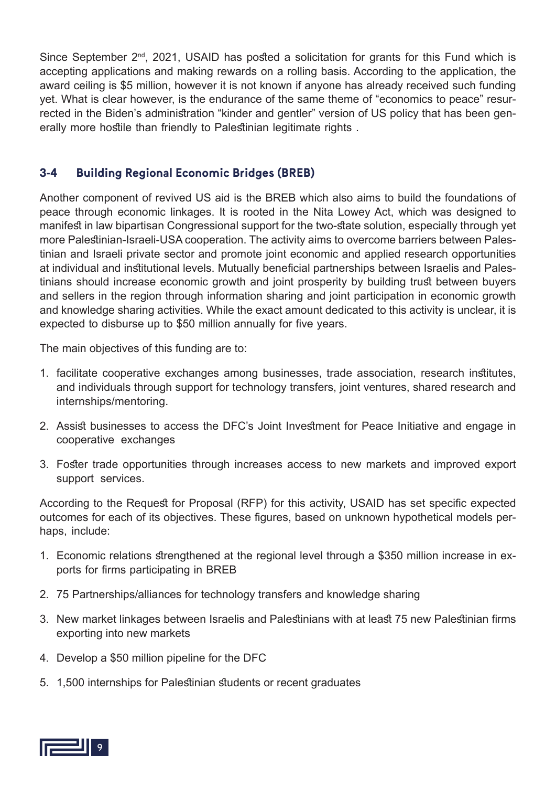Since September  $2<sup>nd</sup>$ , 2021, USAID has posted a solicitation for grants for this Fund which is accepting applications and making rewards on a rolling basis. According to the application, the award ceiling is \$5 million, however it is not known if anyone has already received such funding yet. What is clear however, is the endurance of the same theme of "economics to peace" resurrected in the Biden's administration "kinder and gentler" version of US policy that has been generally more hostile than friendly to Palestinian legitimate rights.

#### **3-4 Building Regional Economic Bridges (BREB)**

Another component of revived US aid is the BREB which also aims to build the foundations of peace through economic linkages. It is rooted in the Nita Lowey Act, which was designed to manifest in law bipartisan Congressional support for the two-state solution, especially through yet more Palestinian-Israeli-USA cooperation. The activity aims to overcome barriers between Palestinian and Israeli private sector and promote joint economic and applied research opportunities at individual and institutional levels. Mutually beneficial partnerships between Israelis and Palestinians should increase economic growth and joint prosperity by building trust between buyers and sellers in the region through information sharing and joint participation in economic growth and knowledge sharing activities. While the exact amount dedicated to this activity is unclear, it is expected to disburse up to \$50 million annually for five years.

The main objectives of this funding are to:

- 1. facilitate cooperative exchanges among businesses, trade association, research institutes, and individuals through support for technology transfers, joint ventures, shared research and internships/mentoring.
- 2. Assist businesses to access the DFC's Joint Investment for Peace Initiative and engage in cooperative exchanges
- 3. Foster trade opportunities through increases access to new markets and improved export support services.

According to the Request for Proposal (RFP) for this activity, USAID has set specific expected outcomes for each of its objectives. These figures, based on unknown hypothetical models perhaps, include:

- 1. Economic relations strengthened at the regional level through a \$350 million increase in exports for firms participating in BREB
- 2. 75 Partnerships/alliances for technology transfers and knowledge sharing
- 3. New market linkages between Israelis and Palestinians with at least 75 new Palestinian firms exporting into new markets
- 4. Develop a \$50 million pipeline for the DFC
- 5. 1,500 internships for Palestinian students or recent graduates

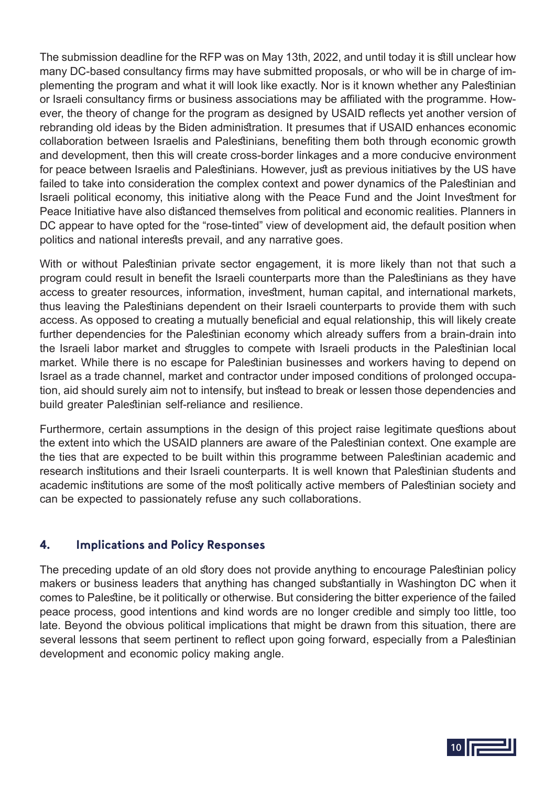The submission deadline for the RFP was on May 13th, 2022, and until today it is still unclear how many DC-based consultancy firms may have submitted proposals, or who will be in charge of implementing the program and what it will look like exactly. Nor is it known whether any Palestinian or Israeli consultancy firms or business associations may be affiliated with the programme. However, the theory of change for the program as designed by USAID reflects yet another version of rebranding old ideas by the Biden administration. It presumes that if USAID enhances economic collaboration between Israelis and Palestinians, benefiting them both through economic growth and development, then this will create cross-border linkages and a more conducive environment for peace between Israelis and Palestinians. However, just as previous initiatives by the US have failed to take into consideration the complex context and power dynamics of the Palestinian and Israeli political economy, this initiative along with the Peace Fund and the Joint Investment for Peace Initiative have also distanced themselves from political and economic realities. Planners in DC appear to have opted for the "rose-tinted" view of development aid, the default position when politics and national interests prevail, and any narrative goes.

With or without Palestinian private sector engagement, it is more likely than not that such a program could result in benefit the Israeli counterparts more than the Palestinians as they have access to greater resources, information, investment, human capital, and international markets, thus leaving the Palestinians dependent on their Israeli counterparts to provide them with such access. As opposed to creating a mutually beneficial and equal relationship, this will likely create further dependencies for the Palestinian economy which already suffers from a brain-drain into the Israeli labor market and struggles to compete with Israeli products in the Palestinian local market. While there is no escape for Palestinian businesses and workers having to depend on Israel as a trade channel, market and contractor under imposed conditions of prolonged occupation, aid should surely aim not to intensify, but instead to break or lessen those dependencies and build greater Palestinian self-reliance and resilience.

Furthermore, certain assumptions in the design of this project raise legitimate questions about the extent into which the USAID planners are aware of the Palestinian context. One example are the ties that are expected to be built within this programme between Palestinian academic and research institutions and their Israeli counterparts. It is well known that Palestinian students and academic institutions are some of the most politically active members of Palestinian society and can be expected to passionately refuse any such collaborations.

#### **4. Implications and Policy Responses**

The preceding update of an old story does not provide anything to encourage Palestinian policy makers or business leaders that anything has changed substantially in Washington DC when it comes to Palestine, be it politically or otherwise. But considering the bitter experience of the failed peace process, good intentions and kind words are no longer credible and simply too little, too late. Beyond the obvious political implications that might be drawn from this situation, there are several lessons that seem pertinent to reflect upon going forward, especially from a Palestinian development and economic policy making angle.

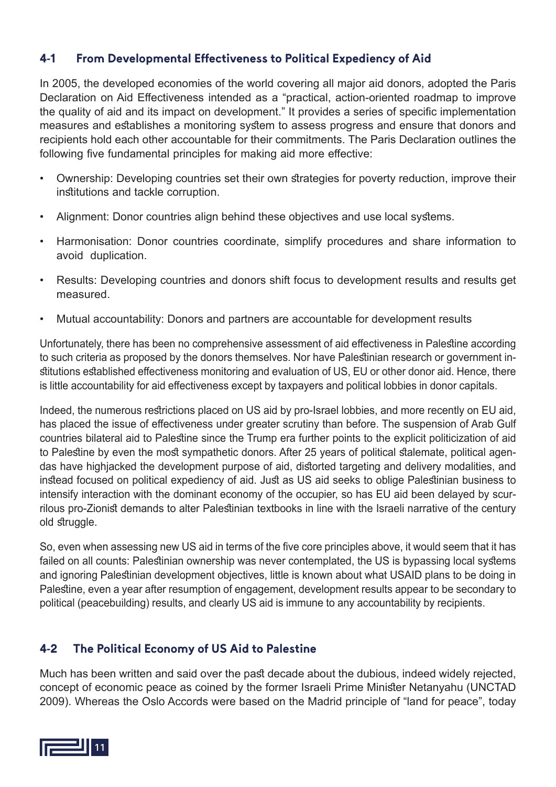#### **4-1 From Developmental Effectiveness to Political Expediency of Aid**

In 2005, the developed economies of the world covering all major aid donors, adopted the Paris Declaration on Aid Effectiveness intended as a "practical, action-oriented roadmap to improve the quality of aid and its impact on development." It provides a series of specific implementation measures and establishes a monitoring system to assess progress and ensure that donors and recipients hold each other accountable for their commitments. The Paris Declaration outlines the following five fundamental principles for making aid more effective:

- Ownership: Developing countries set their own strategies for poverty reduction, improve their institutions and tackle corruption.
- Alignment: Donor countries align behind these objectives and use local systems.
- Harmonisation: Donor countries coordinate, simplify procedures and share information to avoid duplication.
- Results: Developing countries and donors shift focus to development results and results get measured.
- Mutual accountability: Donors and partners are accountable for development results

Unfortunately, there has been no comprehensive assessment of aid effectiveness in Palestine according to such criteria as proposed by the donors themselves. Nor have Palestinian research or government institutions established effectiveness monitoring and evaluation of US, EU or other donor aid. Hence, there is little accountability for aid effectiveness except by taxpayers and political lobbies in donor capitals.

Indeed, the numerous restrictions placed on US aid by pro-Israel lobbies, and more recently on EU aid, has placed the issue of effectiveness under greater scrutiny than before. The suspension of Arab Gulf countries bilateral aid to Palestine since the Trump era further points to the explicit politicization of aid to Palestine by even the most sympathetic donors. After 25 years of political stalemate, political agendas have highjacked the development purpose of aid, distorted targeting and delivery modalities, and instead focused on political expediency of aid. Just as US aid seeks to oblige Palestinian business to intensify interaction with the dominant economy of the occupier, so has EU aid been delayed by scurrilous pro-Zionist demands to alter Palestinian textbooks in line with the Israeli narrative of the century old struggle.

So, even when assessing new US aid in terms of the five core principles above, it would seem that it has failed on all counts: Palestinian ownership was never contemplated, the US is bypassing local systems and ignoring Palestinian development objectives, little is known about what USAID plans to be doing in Palestine, even a year after resumption of engagement, development results appear to be secondary to political (peacebuilding) results, and clearly US aid is immune to any accountability by recipients.

#### **4-2 The Political Economy of US Aid to Palestine**

Much has been written and said over the past decade about the dubious, indeed widely rejected, concept of economic peace as coined by the former Israeli Prime Minister Netanyahu (UNCTAD 2009). Whereas the Oslo Accords were based on the Madrid principle of "land for peace", today

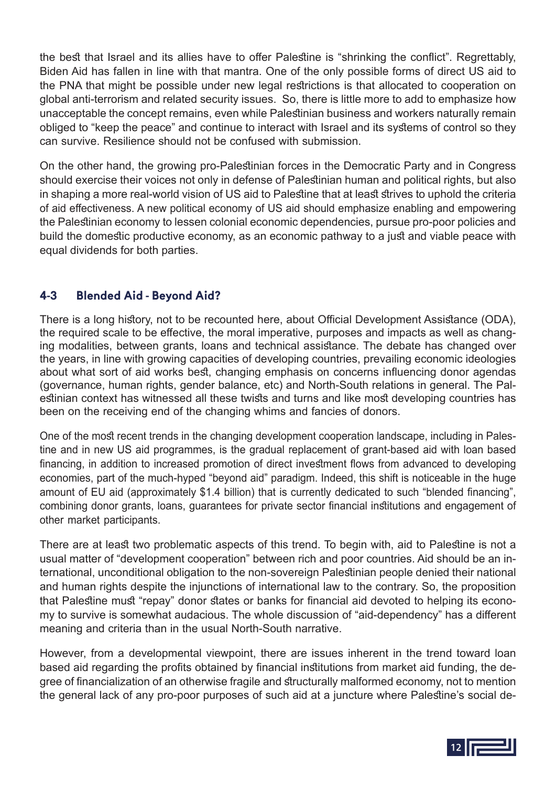the best that Israel and its allies have to offer Palestine is "shrinking the conflict". Regrettably, Biden Aid has fallen in line with that mantra. One of the only possible forms of direct US aid to the PNA that might be possible under new legal restrictions is that allocated to cooperation on global anti-terrorism and related security issues. So, there is little more to add to emphasize how unacceptable the concept remains, even while Palestinian business and workers naturally remain obliged to "keep the peace" and continue to interact with Israel and its systems of control so they can survive. Resilience should not be confused with submission.

On the other hand, the growing pro-Palestinian forces in the Democratic Party and in Congress should exercise their voices not only in defense of Palestinian human and political rights, but also in shaping a more real-world vision of US aid to Palestine that at least strives to uphold the criteria of aid effectiveness. A new political economy of US aid should emphasize enabling and empowering the Palestinian economy to lessen colonial economic dependencies, pursue pro-poor policies and build the domestic productive economy, as an economic pathway to a just and viable peace with equal dividends for both parties.

#### **4-3 Blended Aid - Beyond Aid?**

There is a long history, not to be recounted here, about Official Development Assistance (ODA), the required scale to be effective, the moral imperative, purposes and impacts as well as changing modalities, between grants, loans and technical assistance. The debate has changed over the years, in line with growing capacities of developing countries, prevailing economic ideologies about what sort of aid works best, changing emphasis on concerns influencing donor agendas (governance, human rights, gender balance, etc) and North-South relations in general. The Palestinian context has witnessed all these twists and turns and like most developing countries has been on the receiving end of the changing whims and fancies of donors.

One of the most recent trends in the changing development cooperation landscape, including in Palestine and in new US aid programmes, is the gradual replacement of grant-based aid with loan based financing, in addition to increased promotion of direct investment flows from advanced to developing economies, part of the much-hyped "beyond aid" paradigm. Indeed, this shift is noticeable in the huge amount of EU aid (approximately \$1.4 billion) that is currently dedicated to such "blended financing", combining donor grants, loans, guarantees for private sector financial institutions and engagement of other market participants.

There are at least two problematic aspects of this trend. To begin with, aid to Palestine is not a usual matter of "development cooperation" between rich and poor countries. Aid should be an international, unconditional obligation to the non-sovereign Palestinian people denied their national and human rights despite the injunctions of international law to the contrary. So, the proposition that Palestine must "repay" donor states or banks for financial aid devoted to helping its economy to survive is somewhat audacious. The whole discussion of "aid-dependency" has a different meaning and criteria than in the usual North-South narrative.

However, from a developmental viewpoint, there are issues inherent in the trend toward loan based aid regarding the profits obtained by financial institutions from market aid funding, the degree of financialization of an otherwise fragile and structurally malformed economy, not to mention the general lack of any pro-poor purposes of such aid at a juncture where Palestine's social de-

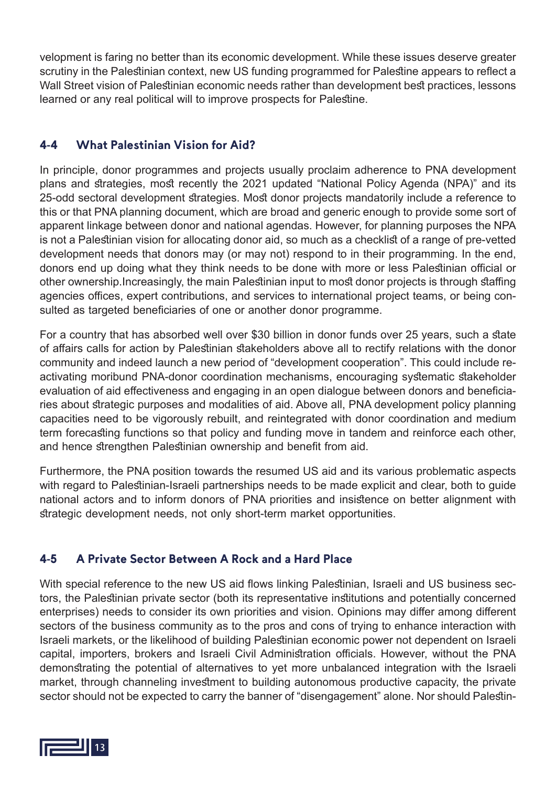velopment is faring no better than its economic development. While these issues deserve greater scrutiny in the Palestinian context, new US funding programmed for Palestine appears to reflect a Wall Street vision of Palestinian economic needs rather than development best practices, lessons learned or any real political will to improve prospects for Palestine.

#### **4-4 What Palestinian Vision for Aid?**

In principle, donor programmes and projects usually proclaim adherence to PNA development plans and strategies, most recently the 2021 updated "National Policy Agenda (NPA)" and its 25-odd sectoral development strategies. Most donor projects mandatorily include a reference to this or that PNA planning document, which are broad and generic enough to provide some sort of apparent linkage between donor and national agendas. However, for planning purposes the NPA is not a Palestinian vision for allocating donor aid, so much as a checklist of a range of pre-vetted development needs that donors may (or may not) respond to in their programming. In the end, donors end up doing what they think needs to be done with more or less Palestinian official or other ownership.Increasingly, the main Palestinian input to most donor projects is through staffing agencies offices, expert contributions, and services to international project teams, or being consulted as targeted beneficiaries of one or another donor programme.

For a country that has absorbed well over \$30 billion in donor funds over 25 years, such a state of affairs calls for action by Palestinian stakeholders above all to rectify relations with the donor community and indeed launch a new period of "development cooperation". This could include reactivating moribund PNA-donor coordination mechanisms, encouraging systematic stakeholder evaluation of aid effectiveness and engaging in an open dialogue between donors and beneficiaries about strategic purposes and modalities of aid. Above all, PNA development policy planning capacities need to be vigorously rebuilt, and reintegrated with donor coordination and medium term forecasting functions so that policy and funding move in tandem and reinforce each other, and hence strengthen Palestinian ownership and benefit from aid.

Furthermore, the PNA position towards the resumed US aid and its various problematic aspects with regard to Palestinian-Israeli partnerships needs to be made explicit and clear, both to guide national actors and to inform donors of PNA priorities and insistence on better alignment with strategic development needs, not only short-term market opportunities.

#### **4-5 A Private Sector Between A Rock and a Hard Place**

With special reference to the new US aid flows linking Palestinian, Israeli and US business sectors, the Palestinian private sector (both its representative institutions and potentially concerned enterprises) needs to consider its own priorities and vision. Opinions may differ among different sectors of the business community as to the pros and cons of trying to enhance interaction with Israeli markets, or the likelihood of building Palestinian economic power not dependent on Israeli capital, importers, brokers and Israeli Civil Administration officials. However, without the PNA demonstrating the potential of alternatives to yet more unbalanced integration with the Israeli market, through channeling investment to building autonomous productive capacity, the private sector should not be expected to carry the banner of "disengagement" alone. Nor should Palestin-

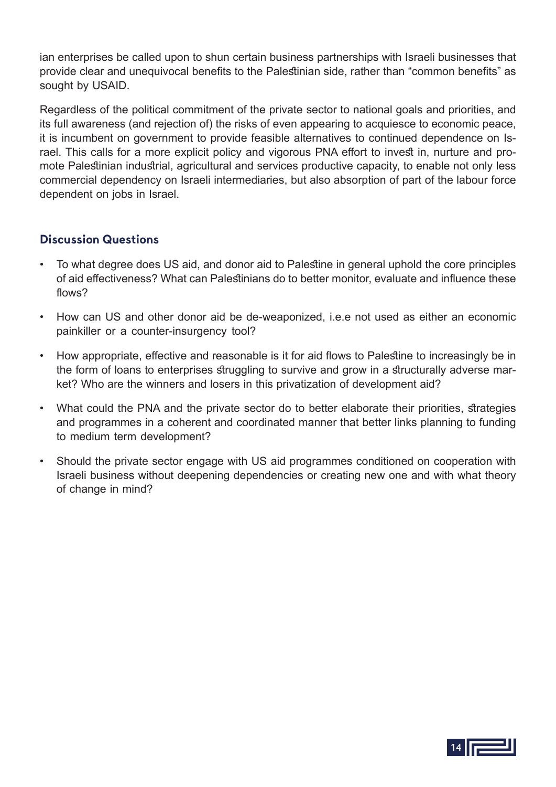ian enterprises be called upon to shun certain business partnerships with Israeli businesses that provide clear and unequivocal benefits to the Palestinian side, rather than "common benefits" as sought by USAID.

Regardless of the political commitment of the private sector to national goals and priorities, and its full awareness (and rejection of) the risks of even appearing to acquiesce to economic peace, it is incumbent on government to provide feasible alternatives to continued dependence on Israel. This calls for a more explicit policy and vigorous PNA effort to invest in, nurture and promote Palestinian industrial, agricultural and services productive capacity, to enable not only less commercial dependency on Israeli intermediaries, but also absorption of part of the labour force dependent on jobs in Israel.

#### **Discussion Questions**

- To what degree does US aid, and donor aid to Palestine in general uphold the core principles of aid effectiveness? What can Palestinians do to better monitor, evaluate and influence these flows?
- How can US and other donor aid be de-weaponized, i.e.e not used as either an economic painkiller or a counter-insurgency tool?
- How appropriate, effective and reasonable is it for aid flows to Palestine to increasingly be in the form of loans to enterprises struggling to survive and grow in a structurally adverse market? Who are the winners and losers in this privatization of development aid?
- What could the PNA and the private sector do to better elaborate their priorities, strategies and programmes in a coherent and coordinated manner that better links planning to funding to medium term development?
- Should the private sector engage with US aid programmes conditioned on cooperation with Israeli business without deepening dependencies or creating new one and with what theory of change in mind?